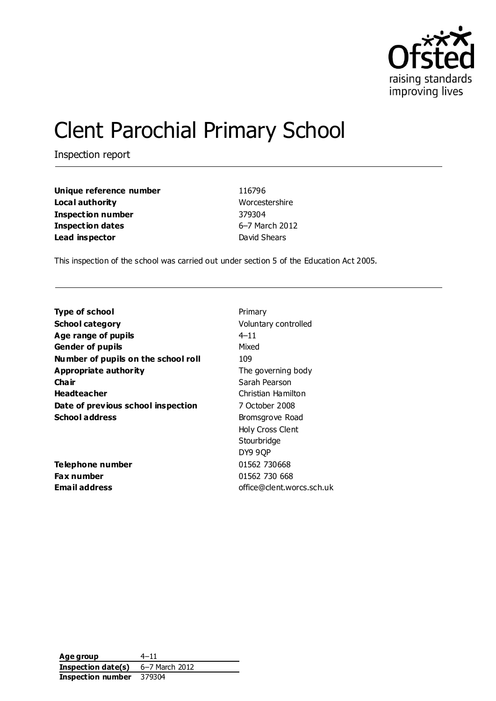

# Clent Parochial Primary School

Inspection report

| Unique reference number  |  |
|--------------------------|--|
| Local authority          |  |
| <b>Inspection number</b> |  |
| <b>Inspection dates</b>  |  |
| Lead inspector           |  |

**Unique reference number** 116796 **Worcestershire Inspection number** 379304 **Inspection dates** 6–7 March 2012 **David Shears** 

This inspection of the school was carried out under section 5 of the Education Act 2005.

| Type of school                      | Primary                   |
|-------------------------------------|---------------------------|
| <b>School category</b>              | Voluntary controlled      |
| Age range of pupils                 | $4 - 11$                  |
| <b>Gender of pupils</b>             | Mixed                     |
| Number of pupils on the school roll | 109                       |
| Appropriate authority               | The governing body        |
| Cha ir                              | Sarah Pearson             |
| <b>Headteacher</b>                  | Christian Hamilton        |
| Date of previous school inspection  | 7 October 2008            |
| <b>School address</b>               | Bromsgrove Road           |
|                                     | Holy Cross Clent          |
|                                     | Stourbridge               |
|                                     | DY9 9QP                   |
| Telephone number                    | 01562 730668              |
| <b>Fax number</b>                   | 01562 730 668             |
| Email address                       | office@clent.worcs.sch.uk |
|                                     |                           |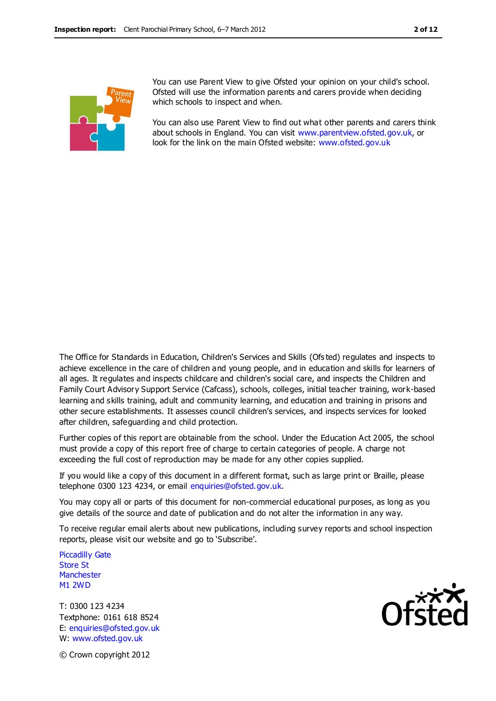

You can use Parent View to give Ofsted your opinion on your child's school. Ofsted will use the information parents and carers provide when deciding which schools to inspect and when.

You can also use Parent View to find out what other parents and carers think about schools in England. You can visit [www.parentview.ofsted.gov.uk,](http://www.parentview.ofsted.gov.uk/) or look for the link on the main Ofsted website: [www.ofsted.gov.uk](http://www.ofsted.gov.uk/)

The Office for Standards in Education, Children's Services and Skills (Ofs ted) regulates and inspects to achieve excellence in the care of children and young people, and in education and skills for learners of all ages. It regulates and inspects childcare and children's social care, and inspects the Children and Family Court Advisory Support Service (Cafcass), schools, colleges, initial teacher training, work-based learning and skills training, adult and community learning, and education and training in prisons and other secure establishments. It assesses council children's services, and inspects services for looked after children, safeguarding and child protection.

Further copies of this report are obtainable from the school. Under the Education Act 2005, the school must provide a copy of this report free of charge to certain categories of people. A charge not exceeding the full cost of reproduction may be made for any other copies supplied.

If you would like a copy of this document in a different format, such as large print or Braille, please telephone 0300 123 4234, or email enquiries@ofsted.gov.uk.

You may copy all or parts of this document for non-commercial educational purposes, as long as you give details of the source and date of publication and do not alter the information in any way.

To receive regular email alerts about new publications, including survey reports and school inspection reports, please visit our website and go to 'Subscribe'.

Piccadilly Gate Store St **Manchester** M1 2WD

T: 0300 123 4234 Textphone: 0161 618 8524 E: enquiries@ofsted.gov.uk W: www.ofsted.gov.uk



© Crown copyright 2012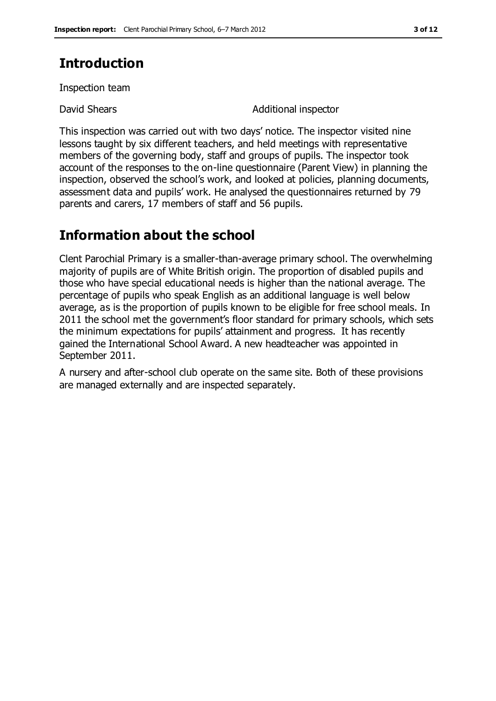## **Introduction**

Inspection team

David Shears **Additional inspector** 

This inspection was carried out with two days' notice. The inspector visited nine lessons taught by six different teachers, and held meetings with representative members of the governing body, staff and groups of pupils. The inspector took account of the responses to the on-line questionnaire (Parent View) in planning the inspection, observed the school's work, and looked at policies, planning documents, assessment data and pupils' work. He analysed the questionnaires returned by 79 parents and carers, 17 members of staff and 56 pupils.

## **Information about the school**

Clent Parochial Primary is a smaller-than-average primary school. The overwhelming majority of pupils are of White British origin. The proportion of disabled pupils and those who have special educational needs is higher than the national average. The percentage of pupils who speak English as an additional language is well below average, as is the proportion of pupils known to be eligible for free school meals. In 2011 the school met the government's floor standard for primary schools, which sets the minimum expectations for pupils' attainment and progress. It has recently gained the International School Award. A new headteacher was appointed in September 2011.

A nursery and after-school club operate on the same site. Both of these provisions are managed externally and are inspected separately.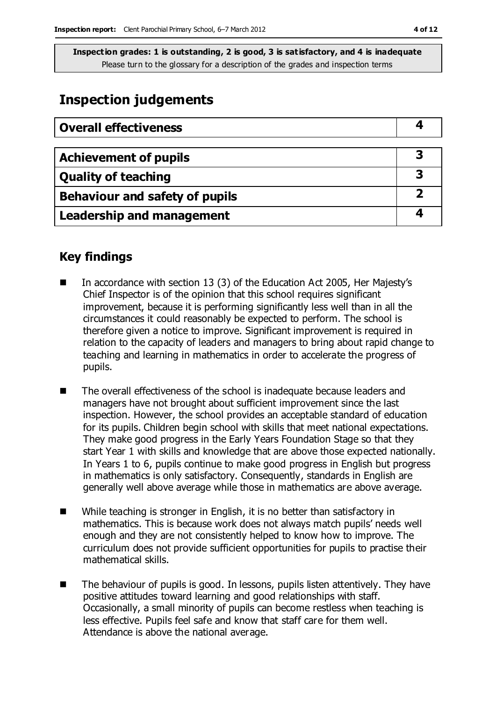## **Inspection judgements**

| <b>Overall effectiveness</b>          |  |
|---------------------------------------|--|
|                                       |  |
| <b>Achievement of pupils</b>          |  |
| <b>Quality of teaching</b>            |  |
| <b>Behaviour and safety of pupils</b> |  |
| <b>Leadership and management</b>      |  |

#### **Key findings**

- In accordance with section 13 (3) of the Education Act 2005, Her Majesty's Chief Inspector is of the opinion that this school requires significant improvement, because it is performing significantly less well than in all the circumstances it could reasonably be expected to perform. The school is therefore given a notice to improve. Significant improvement is required in relation to the capacity of leaders and managers to bring about rapid change to teaching and learning in mathematics in order to accelerate the progress of pupils.
- The overall effectiveness of the school is inadequate because leaders and managers have not brought about sufficient improvement since the last inspection. However, the school provides an acceptable standard of education for its pupils. Children begin school with skills that meet national expectations. They make good progress in the Early Years Foundation Stage so that they start Year 1 with skills and knowledge that are above those expected nationally. In Years 1 to 6, pupils continue to make good progress in English but progress in mathematics is only satisfactory. Consequently, standards in English are generally well above average while those in mathematics are above average.
- While teaching is stronger in English, it is no better than satisfactory in mathematics. This is because work does not always match pupils' needs well enough and they are not consistently helped to know how to improve. The curriculum does not provide sufficient opportunities for pupils to practise their mathematical skills.
- The behaviour of pupils is good. In lessons, pupils listen attentively. They have positive attitudes toward learning and good relationships with staff. Occasionally, a small minority of pupils can become restless when teaching is less effective. Pupils feel safe and know that staff care for them well. Attendance is above the national average.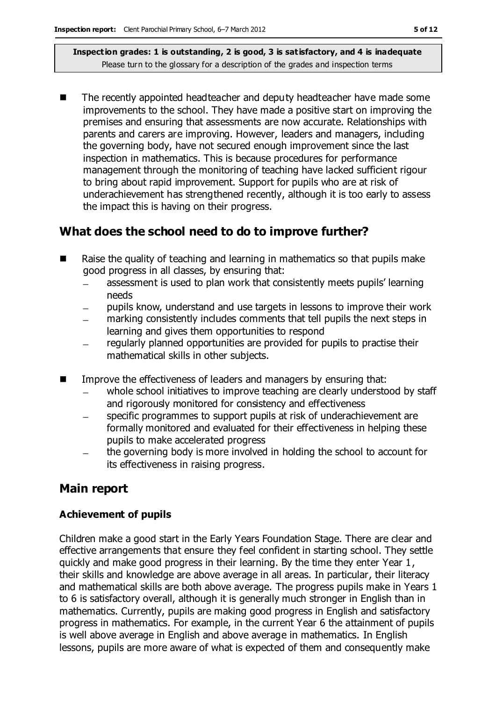The recently appointed headteacher and deputy headteacher have made some improvements to the school. They have made a positive start on improving the premises and ensuring that assessments are now accurate. Relationships with parents and carers are improving. However, leaders and managers, including the governing body, have not secured enough improvement since the last inspection in mathematics. This is because procedures for performance management through the monitoring of teaching have lacked sufficient rigour to bring about rapid improvement. Support for pupils who are at risk of underachievement has strengthened recently, although it is too early to assess the impact this is having on their progress.

## **What does the school need to do to improve further?**

- Raise the quality of teaching and learning in mathematics so that pupils make good progress in all classes, by ensuring that:
	- assessment is used to plan work that consistently meets pupils' learning needs
	- pupils know, understand and use targets in lessons to improve their work
	- marking consistently includes comments that tell pupils the next steps in learning and gives them opportunities to respond
	- regularly planned opportunities are provided for pupils to practise their mathematical skills in other subjects.
- **IMPROVE THE EFFECT IMPLESS** of leaders and managers by ensuring that:
	- whole school initiatives to improve teaching are clearly understood by staff and rigorously monitored for consistency and effectiveness
	- specific programmes to support pupils at risk of underachievement are formally monitored and evaluated for their effectiveness in helping these pupils to make accelerated progress
	- the governing body is more involved in holding the school to account for its effectiveness in raising progress.

### **Main report**

#### **Achievement of pupils**

Children make a good start in the Early Years Foundation Stage. There are clear and effective arrangements that ensure they feel confident in starting school. They settle quickly and make good progress in their learning. By the time they enter Year 1, their skills and knowledge are above average in all areas. In particular, their literacy and mathematical skills are both above average. The progress pupils make in Years 1 to 6 is satisfactory overall, although it is generally much stronger in English than in mathematics. Currently, pupils are making good progress in English and satisfactory progress in mathematics. For example, in the current Year 6 the attainment of pupils is well above average in English and above average in mathematics. In English lessons, pupils are more aware of what is expected of them and consequently make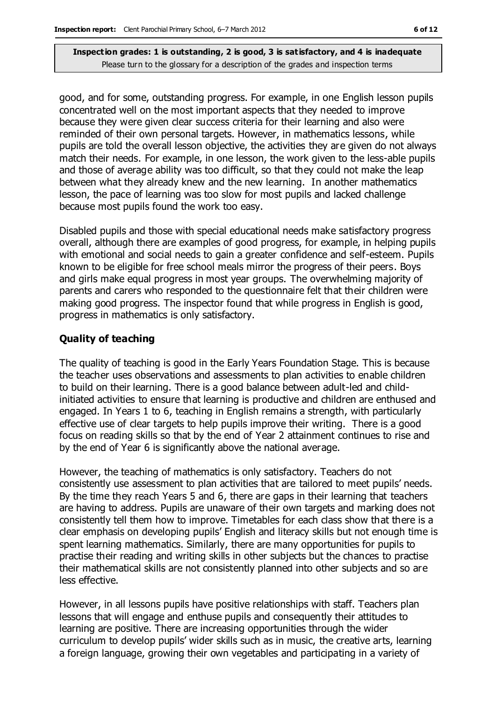good, and for some, outstanding progress. For example, in one English lesson pupils concentrated well on the most important aspects that they needed to improve because they were given clear success criteria for their learning and also were reminded of their own personal targets. However, in mathematics lessons, while pupils are told the overall lesson objective, the activities they are given do not always match their needs. For example, in one lesson, the work given to the less-able pupils and those of average ability was too difficult, so that they could not make the leap between what they already knew and the new learning. In another mathematics lesson, the pace of learning was too slow for most pupils and lacked challenge because most pupils found the work too easy.

Disabled pupils and those with special educational needs make satisfactory progress overall, although there are examples of good progress, for example, in helping pupils with emotional and social needs to gain a greater confidence and self-esteem. Pupils known to be eligible for free school meals mirror the progress of their peers. Boys and girls make equal progress in most year groups. The overwhelming majority of parents and carers who responded to the questionnaire felt that their children were making good progress. The inspector found that while progress in English is good, progress in mathematics is only satisfactory.

#### **Quality of teaching**

The quality of teaching is good in the Early Years Foundation Stage. This is because the teacher uses observations and assessments to plan activities to enable children to build on their learning. There is a good balance between adult-led and childinitiated activities to ensure that learning is productive and children are enthused and engaged. In Years 1 to 6, teaching in English remains a strength, with particularly effective use of clear targets to help pupils improve their writing. There is a good focus on reading skills so that by the end of Year 2 attainment continues to rise and by the end of Year 6 is significantly above the national average.

However, the teaching of mathematics is only satisfactory. Teachers do not consistently use assessment to plan activities that are tailored to meet pupils' needs. By the time they reach Years 5 and 6, there are gaps in their learning that teachers are having to address. Pupils are unaware of their own targets and marking does not consistently tell them how to improve. Timetables for each class show that there is a clear emphasis on developing pupils' English and literacy skills but not enough time is spent learning mathematics. Similarly, there are many opportunities for pupils to practise their reading and writing skills in other subjects but the chances to practise their mathematical skills are not consistently planned into other subjects and so are less effective.

However, in all lessons pupils have positive relationships with staff. Teachers plan lessons that will engage and enthuse pupils and consequently their attitudes to learning are positive. There are increasing opportunities through the wider curriculum to develop pupils' wider skills such as in music, the creative arts, learning a foreign language, growing their own vegetables and participating in a variety of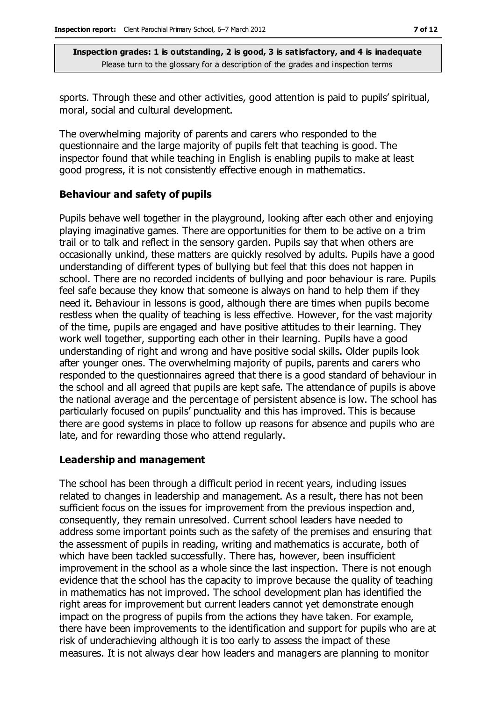sports. Through these and other activities, good attention is paid to pupils' spiritual, moral, social and cultural development.

The overwhelming majority of parents and carers who responded to the questionnaire and the large majority of pupils felt that teaching is good. The inspector found that while teaching in English is enabling pupils to make at least good progress, it is not consistently effective enough in mathematics.

#### **Behaviour and safety of pupils**

Pupils behave well together in the playground, looking after each other and enjoying playing imaginative games. There are opportunities for them to be active on a trim trail or to talk and reflect in the sensory garden. Pupils say that when others are occasionally unkind, these matters are quickly resolved by adults. Pupils have a good understanding of different types of bullying but feel that this does not happen in school. There are no recorded incidents of bullying and poor behaviour is rare. Pupils feel safe because they know that someone is always on hand to help them if they need it. Behaviour in lessons is good, although there are times when pupils become restless when the quality of teaching is less effective. However, for the vast majority of the time, pupils are engaged and have positive attitudes to their learning. They work well together, supporting each other in their learning. Pupils have a good understanding of right and wrong and have positive social skills. Older pupils look after younger ones. The overwhelming majority of pupils, parents and carers who responded to the questionnaires agreed that there is a good standard of behaviour in the school and all agreed that pupils are kept safe. The attendance of pupils is above the national average and the percentage of persistent absence is low. The school has particularly focused on pupils' punctuality and this has improved. This is because there are good systems in place to follow up reasons for absence and pupils who are late, and for rewarding those who attend regularly.

#### **Leadership and management**

The school has been through a difficult period in recent years, including issues related to changes in leadership and management. As a result, there has not been sufficient focus on the issues for improvement from the previous inspection and, consequently, they remain unresolved. Current school leaders have needed to address some important points such as the safety of the premises and ensuring that the assessment of pupils in reading, writing and mathematics is accurate, both of which have been tackled successfully. There has, however, been insufficient improvement in the school as a whole since the last inspection. There is not enough evidence that the school has the capacity to improve because the quality of teaching in mathematics has not improved. The school development plan has identified the right areas for improvement but current leaders cannot yet demonstrate enough impact on the progress of pupils from the actions they have taken. For example, there have been improvements to the identification and support for pupils who are at risk of underachieving although it is too early to assess the impact of these measures. It is not always clear how leaders and managers are planning to monitor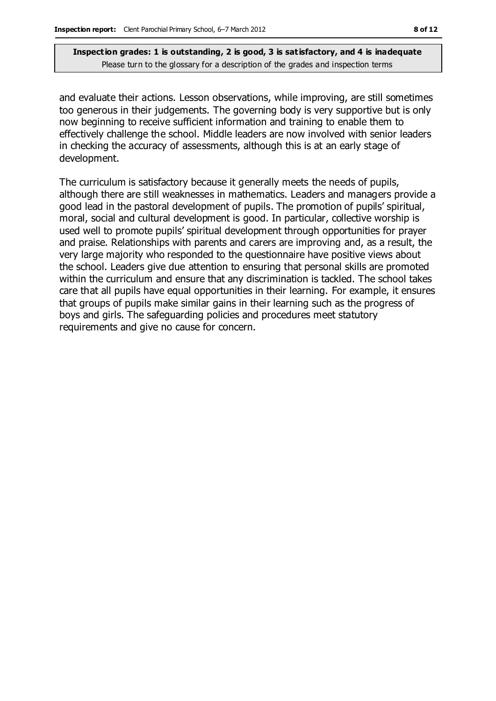and evaluate their actions. Lesson observations, while improving, are still sometimes too generous in their judgements. The governing body is very supportive but is only now beginning to receive sufficient information and training to enable them to effectively challenge the school. Middle leaders are now involved with senior leaders in checking the accuracy of assessments, although this is at an early stage of development.

The curriculum is satisfactory because it generally meets the needs of pupils, although there are still weaknesses in mathematics. Leaders and managers provide a good lead in the pastoral development of pupils. The promotion of pupils' spiritual, moral, social and cultural development is good. In particular, collective worship is used well to promote pupils' spiritual development through opportunities for prayer and praise. Relationships with parents and carers are improving and, as a result, the very large majority who responded to the questionnaire have positive views about the school. Leaders give due attention to ensuring that personal skills are promoted within the curriculum and ensure that any discrimination is tackled. The school takes care that all pupils have equal opportunities in their learning. For example, it ensures that groups of pupils make similar gains in their learning such as the progress of boys and girls. The safeguarding policies and procedures meet statutory requirements and give no cause for concern.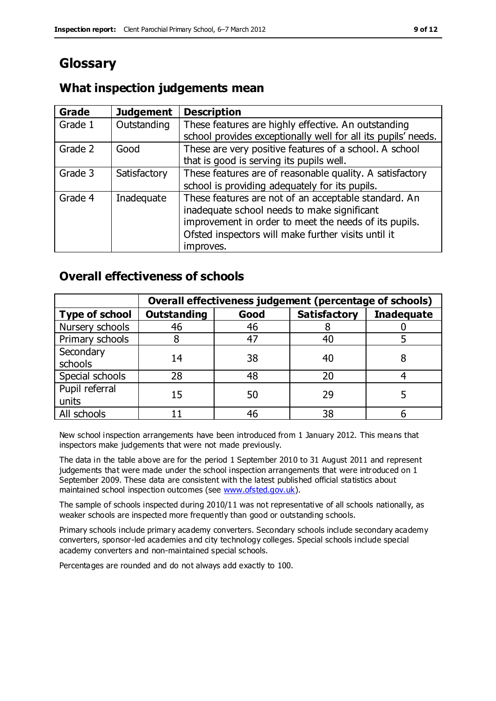## **Glossary**

#### **What inspection judgements mean**

| Grade   | <b>Judgement</b> | <b>Description</b>                                            |
|---------|------------------|---------------------------------------------------------------|
| Grade 1 | Outstanding      | These features are highly effective. An outstanding           |
|         |                  | school provides exceptionally well for all its pupils' needs. |
| Grade 2 | Good             | These are very positive features of a school. A school        |
|         |                  | that is good is serving its pupils well.                      |
| Grade 3 | Satisfactory     | These features are of reasonable quality. A satisfactory      |
|         |                  | school is providing adequately for its pupils.                |
| Grade 4 | Inadequate       | These features are not of an acceptable standard. An          |
|         |                  | inadequate school needs to make significant                   |
|         |                  | improvement in order to meet the needs of its pupils.         |
|         |                  | Ofsted inspectors will make further visits until it           |
|         |                  | improves.                                                     |

### **Overall effectiveness of schools**

|                         | Overall effectiveness judgement (percentage of schools) |      |                     |                   |
|-------------------------|---------------------------------------------------------|------|---------------------|-------------------|
| <b>Type of school</b>   | <b>Outstanding</b>                                      | Good | <b>Satisfactory</b> | <b>Inadequate</b> |
| Nursery schools         | 46                                                      | 46   |                     |                   |
| Primary schools         |                                                         | 47   | 40                  |                   |
| Secondary<br>schools    | 14                                                      | 38   | 40                  |                   |
| Special schools         | 28                                                      | 48   | 20                  |                   |
| Pupil referral<br>units | 15                                                      | 50   | 29                  |                   |
| All schools             |                                                         | 46   | 38                  |                   |

New school inspection arrangements have been introduced from 1 January 2012. This means that inspectors make judgements that were not made previously.

The data in the table above are for the period 1 September 2010 to 31 August 2011 and represent judgements that were made under the school inspection arrangements that were introduced on 1 September 2009. These data are consistent with the latest published official statistics about maintained school inspection outcomes (see [www.ofsted.gov.uk\)](http://www.ofsted.gov.uk/).

The sample of schools inspected during 2010/11 was not representative of all schools nationally, as weaker schools are inspected more frequently than good or outstanding schools.

Primary schools include primary academy converters. Secondary schools include secondary academy converters, sponsor-led academies and city technology colleges. Special schools include special academy converters and non-maintained special schools.

Percentages are rounded and do not always add exactly to 100.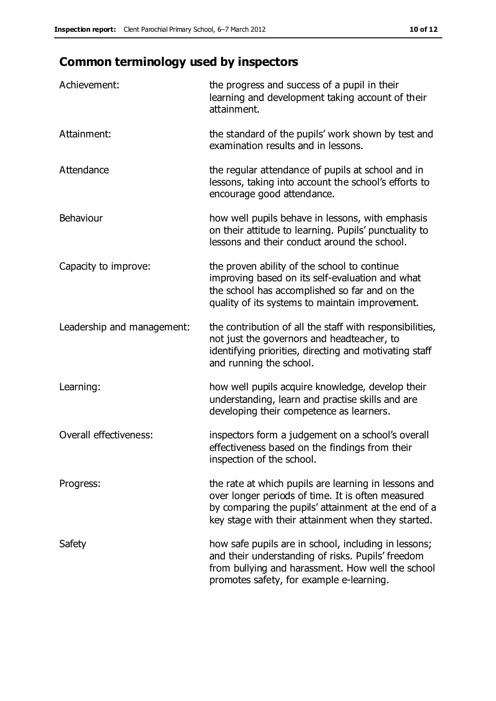## **Common terminology used by inspectors**

| Achievement:                  | the progress and success of a pupil in their<br>learning and development taking account of their<br>attainment.                                                                                                        |
|-------------------------------|------------------------------------------------------------------------------------------------------------------------------------------------------------------------------------------------------------------------|
| Attainment:                   | the standard of the pupils' work shown by test and<br>examination results and in lessons.                                                                                                                              |
| Attendance                    | the regular attendance of pupils at school and in<br>lessons, taking into account the school's efforts to<br>encourage good attendance.                                                                                |
| Behaviour                     | how well pupils behave in lessons, with emphasis<br>on their attitude to learning. Pupils' punctuality to<br>lessons and their conduct around the school.                                                              |
| Capacity to improve:          | the proven ability of the school to continue<br>improving based on its self-evaluation and what<br>the school has accomplished so far and on the<br>quality of its systems to maintain improvement.                    |
| Leadership and management:    | the contribution of all the staff with responsibilities,<br>not just the governors and headteacher, to<br>identifying priorities, directing and motivating staff<br>and running the school.                            |
| Learning:                     | how well pupils acquire knowledge, develop their<br>understanding, learn and practise skills and are<br>developing their competence as learners.                                                                       |
| <b>Overall effectiveness:</b> | inspectors form a judgement on a school's overall<br>effectiveness based on the findings from their<br>inspection of the school.                                                                                       |
| Progress:                     | the rate at which pupils are learning in lessons and<br>over longer periods of time. It is often measured<br>by comparing the pupils' attainment at the end of a<br>key stage with their attainment when they started. |
| Safety                        | how safe pupils are in school, including in lessons;<br>and their understanding of risks. Pupils' freedom<br>from bullying and harassment. How well the school<br>promotes safety, for example e-learning.             |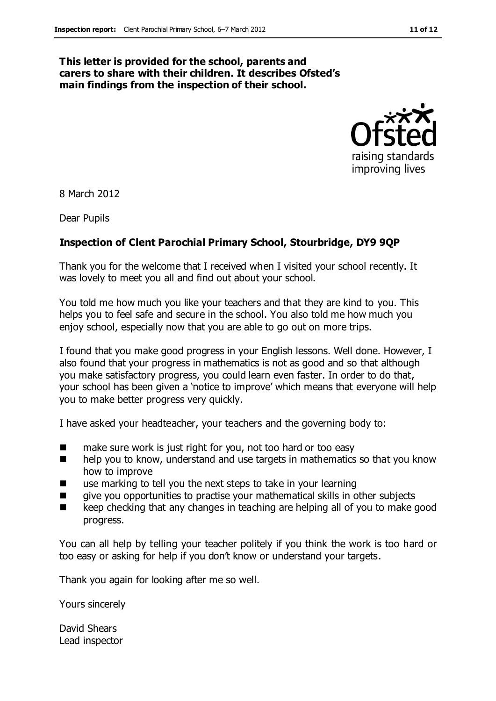#### **This letter is provided for the school, parents and carers to share with their children. It describes Ofsted's main findings from the inspection of their school.**



8 March 2012

Dear Pupils

#### **Inspection of Clent Parochial Primary School, Stourbridge, DY9 9QP**

Thank you for the welcome that I received when I visited your school recently. It was lovely to meet you all and find out about your school.

You told me how much you like your teachers and that they are kind to you. This helps you to feel safe and secure in the school. You also told me how much you enjoy school, especially now that you are able to go out on more trips.

I found that you make good progress in your English lessons. Well done. However, I also found that your progress in mathematics is not as good and so that although you make satisfactory progress, you could learn even faster. In order to do that, your school has been given a 'notice to improve' which means that everyone will help you to make better progress very quickly.

I have asked your headteacher, your teachers and the governing body to:

- make sure work is just right for you, not too hard or too easy
- $\blacksquare$  help you to know, understand and use targets in mathematics so that you know how to improve
- use marking to tell you the next steps to take in your learning
- **The set of the symuller set of the symuller** singlects  $\blacksquare$  singlects subjects
- keep checking that any changes in teaching are helping all of you to make good progress.

You can all help by telling your teacher politely if you think the work is too hard or too easy or asking for help if you don't know or understand your targets.

Thank you again for looking after me so well.

Yours sincerely

David Shears Lead inspector